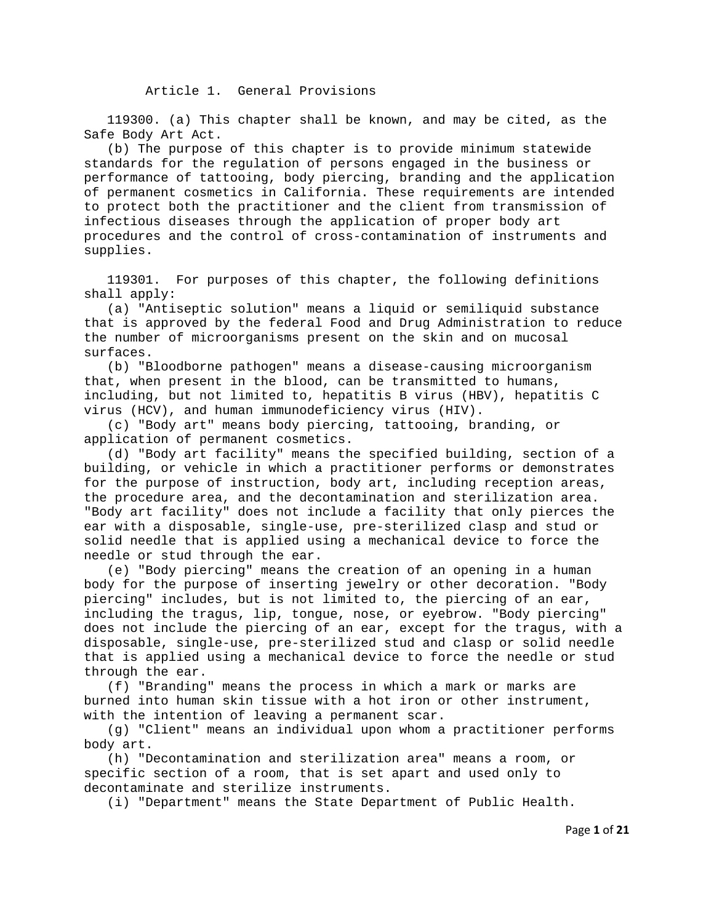119300. (a) This chapter shall be known, and may be cited, as the Safe Body Art Act.

 (b) The purpose of this chapter is to provide minimum statewide standards for the regulation of persons engaged in the business or performance of tattooing, body piercing, branding and the application of permanent cosmetics in California. These requirements are intended to protect both the practitioner and the client from transmission of infectious diseases through the application of proper body art procedures and the control of cross-contamination of instruments and supplies.

 119301. For purposes of this chapter, the following definitions shall apply:

 (a) "Antiseptic solution" means a liquid or semiliquid substance that is approved by the federal Food and Drug Administration to reduce the number of microorganisms present on the skin and on mucosal surfaces.

 (b) "Bloodborne pathogen" means a disease-causing microorganism that, when present in the blood, can be transmitted to humans, including, but not limited to, hepatitis B virus (HBV), hepatitis C virus (HCV), and human immunodeficiency virus (HIV).

 (c) "Body art" means body piercing, tattooing, branding, or application of permanent cosmetics.

 (d) "Body art facility" means the specified building, section of a building, or vehicle in which a practitioner performs or demonstrates for the purpose of instruction, body art, including reception areas, the procedure area, and the decontamination and sterilization area. "Body art facility" does not include a facility that only pierces the ear with a disposable, single-use, pre-sterilized clasp and stud or solid needle that is applied using a mechanical device to force the needle or stud through the ear.

 (e) "Body piercing" means the creation of an opening in a human body for the purpose of inserting jewelry or other decoration. "Body piercing" includes, but is not limited to, the piercing of an ear, including the tragus, lip, tongue, nose, or eyebrow. "Body piercing" does not include the piercing of an ear, except for the tragus, with a disposable, single-use, pre-sterilized stud and clasp or solid needle that is applied using a mechanical device to force the needle or stud through the ear.

 (f) "Branding" means the process in which a mark or marks are burned into human skin tissue with a hot iron or other instrument, with the intention of leaving a permanent scar.

 (g) "Client" means an individual upon whom a practitioner performs body art.

 (h) "Decontamination and sterilization area" means a room, or specific section of a room, that is set apart and used only to decontaminate and sterilize instruments.

(i) "Department" means the State Department of Public Health.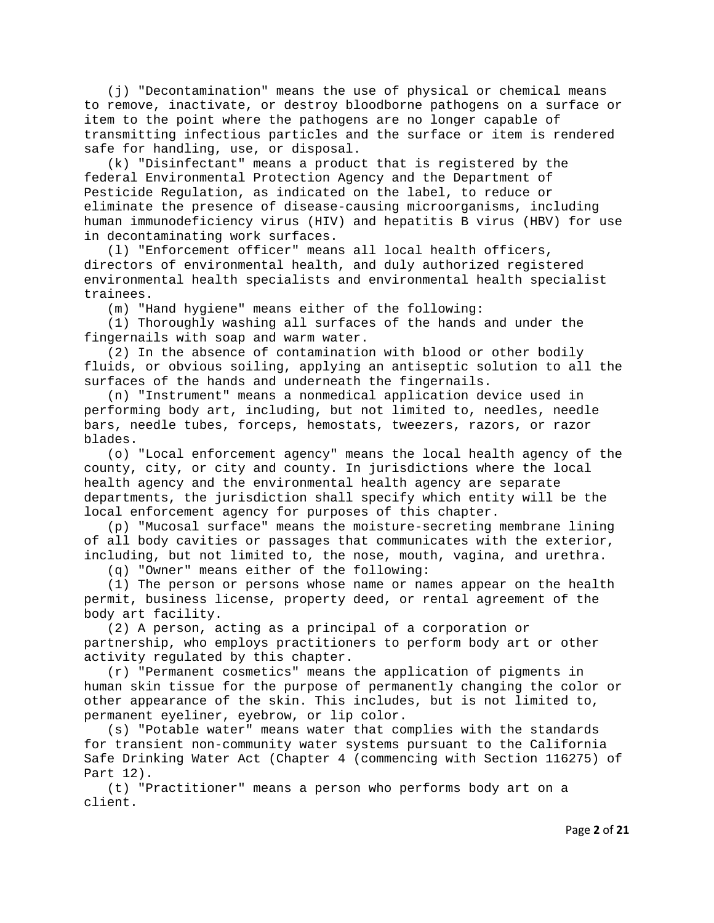(j) "Decontamination" means the use of physical or chemical means to remove, inactivate, or destroy bloodborne pathogens on a surface or item to the point where the pathogens are no longer capable of transmitting infectious particles and the surface or item is rendered safe for handling, use, or disposal.

 (k) "Disinfectant" means a product that is registered by the federal Environmental Protection Agency and the Department of Pesticide Regulation, as indicated on the label, to reduce or eliminate the presence of disease-causing microorganisms, including human immunodeficiency virus (HIV) and hepatitis B virus (HBV) for use in decontaminating work surfaces.

 (l) "Enforcement officer" means all local health officers, directors of environmental health, and duly authorized registered environmental health specialists and environmental health specialist trainees.

(m) "Hand hygiene" means either of the following:

 (1) Thoroughly washing all surfaces of the hands and under the fingernails with soap and warm water.

 (2) In the absence of contamination with blood or other bodily fluids, or obvious soiling, applying an antiseptic solution to all the surfaces of the hands and underneath the fingernails.

 (n) "Instrument" means a nonmedical application device used in performing body art, including, but not limited to, needles, needle bars, needle tubes, forceps, hemostats, tweezers, razors, or razor blades.

 (o) "Local enforcement agency" means the local health agency of the county, city, or city and county. In jurisdictions where the local health agency and the environmental health agency are separate departments, the jurisdiction shall specify which entity will be the local enforcement agency for purposes of this chapter.

 (p) "Mucosal surface" means the moisture-secreting membrane lining of all body cavities or passages that communicates with the exterior, including, but not limited to, the nose, mouth, vagina, and urethra.

(q) "Owner" means either of the following:

 (1) The person or persons whose name or names appear on the health permit, business license, property deed, or rental agreement of the body art facility.

 (2) A person, acting as a principal of a corporation or partnership, who employs practitioners to perform body art or other activity regulated by this chapter.

 (r) "Permanent cosmetics" means the application of pigments in human skin tissue for the purpose of permanently changing the color or other appearance of the skin. This includes, but is not limited to, permanent eyeliner, eyebrow, or lip color.

 (s) "Potable water" means water that complies with the standards for transient non-community water systems pursuant to the California Safe Drinking Water Act (Chapter 4 (commencing with Section 116275) of Part 12).

 (t) "Practitioner" means a person who performs body art on a client.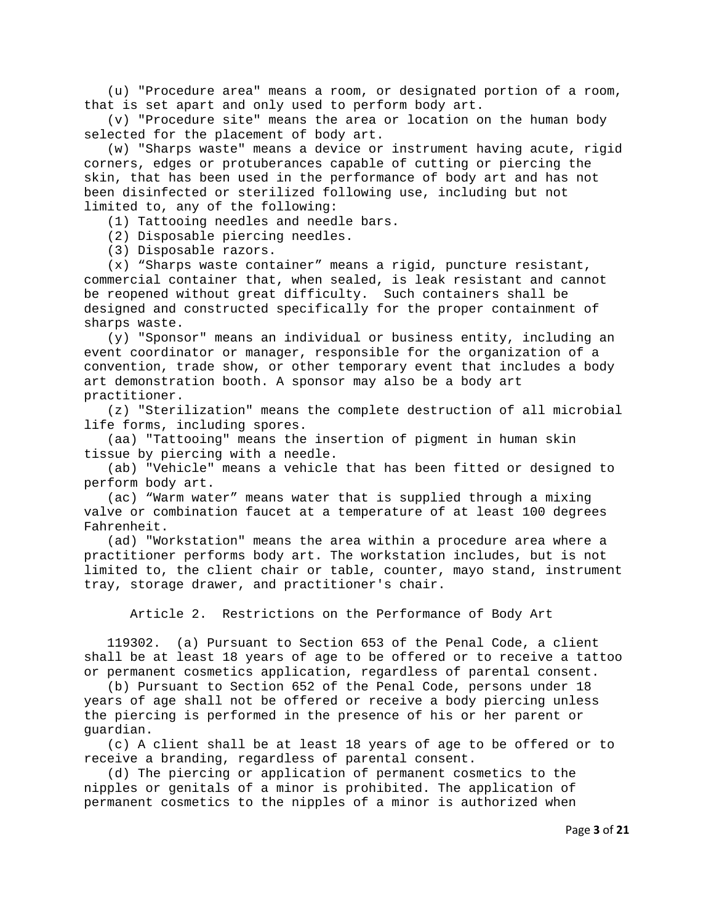(u) "Procedure area" means a room, or designated portion of a room, that is set apart and only used to perform body art.

 (v) "Procedure site" means the area or location on the human body selected for the placement of body art.

 (w) "Sharps waste" means a device or instrument having acute, rigid corners, edges or protuberances capable of cutting or piercing the skin, that has been used in the performance of body art and has not been disinfected or sterilized following use, including but not limited to, any of the following:

(1) Tattooing needles and needle bars.

(2) Disposable piercing needles.

(3) Disposable razors.

 (x) "Sharps waste container" means a rigid, puncture resistant, commercial container that, when sealed, is leak resistant and cannot be reopened without great difficulty. Such containers shall be designed and constructed specifically for the proper containment of sharps waste.

 (y) "Sponsor" means an individual or business entity, including an event coordinator or manager, responsible for the organization of a convention, trade show, or other temporary event that includes a body art demonstration booth. A sponsor may also be a body art practitioner.

 (z) "Sterilization" means the complete destruction of all microbial life forms, including spores.

 (aa) "Tattooing" means the insertion of pigment in human skin tissue by piercing with a needle.

 (ab) "Vehicle" means a vehicle that has been fitted or designed to perform body art.

 (ac) "Warm water" means water that is supplied through a mixing valve or combination faucet at a temperature of at least 100 degrees Fahrenheit.

 (ad) "Workstation" means the area within a procedure area where a practitioner performs body art. The workstation includes, but is not limited to, the client chair or table, counter, mayo stand, instrument tray, storage drawer, and practitioner's chair.

Article 2. Restrictions on the Performance of Body Art

 119302. (a) Pursuant to Section 653 of the Penal Code, a client shall be at least 18 years of age to be offered or to receive a tattoo or permanent cosmetics application, regardless of parental consent.

 (b) Pursuant to Section 652 of the Penal Code, persons under 18 years of age shall not be offered or receive a body piercing unless the piercing is performed in the presence of his or her parent or guardian.

 (c) A client shall be at least 18 years of age to be offered or to receive a branding, regardless of parental consent.

 (d) The piercing or application of permanent cosmetics to the nipples or genitals of a minor is prohibited. The application of permanent cosmetics to the nipples of a minor is authorized when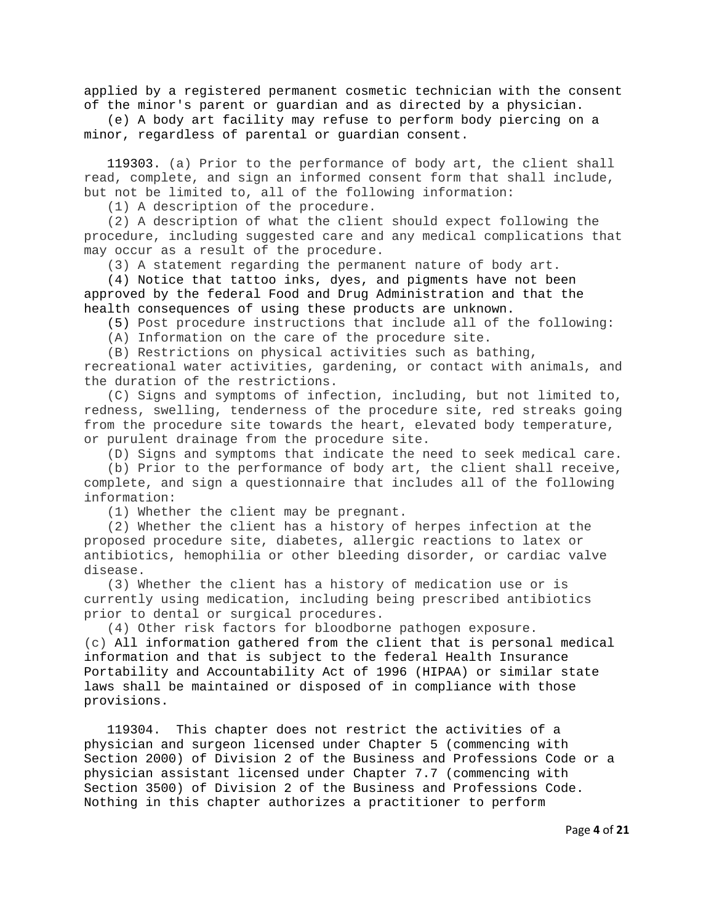applied by a registered permanent cosmetic technician with the consent of the minor's parent or guardian and as directed by a physician.

 (e) A body art facility may refuse to perform body piercing on a minor, regardless of parental or guardian consent.

 119303. (a) Prior to the performance of body art, the client shall read, complete, and sign an informed consent form that shall include, but not be limited to, all of the following information:

(1) A description of the procedure.

 (2) A description of what the client should expect following the procedure, including suggested care and any medical complications that may occur as a result of the procedure.

(3) A statement regarding the permanent nature of body art.

 (4) Notice that tattoo inks, dyes, and pigments have not been approved by the federal Food and Drug Administration and that the health consequences of using these products are unknown.

(5) Post procedure instructions that include all of the following:

(A) Information on the care of the procedure site.

(B) Restrictions on physical activities such as bathing,

recreational water activities, gardening, or contact with animals, and the duration of the restrictions.

 (C) Signs and symptoms of infection, including, but not limited to, redness, swelling, tenderness of the procedure site, red streaks going from the procedure site towards the heart, elevated body temperature, or purulent drainage from the procedure site.

(D) Signs and symptoms that indicate the need to seek medical care.

 (b) Prior to the performance of body art, the client shall receive, complete, and sign a questionnaire that includes all of the following information:

(1) Whether the client may be pregnant.

 (2) Whether the client has a history of herpes infection at the proposed procedure site, diabetes, allergic reactions to latex or antibiotics, hemophilia or other bleeding disorder, or cardiac valve disease.

 (3) Whether the client has a history of medication use or is currently using medication, including being prescribed antibiotics prior to dental or surgical procedures.

 (4) Other risk factors for bloodborne pathogen exposure. (c) All information gathered from the client that is personal medical information and that is subject to the federal Health Insurance Portability and Accountability Act of 1996 (HIPAA) or similar state laws shall be maintained or disposed of in compliance with those provisions.

 119304. This chapter does not restrict the activities of a physician and surgeon licensed under Chapter 5 (commencing with Section 2000) of Division 2 of the Business and Professions Code or a physician assistant licensed under Chapter 7.7 (commencing with Section 3500) of Division 2 of the Business and Professions Code. Nothing in this chapter authorizes a practitioner to perform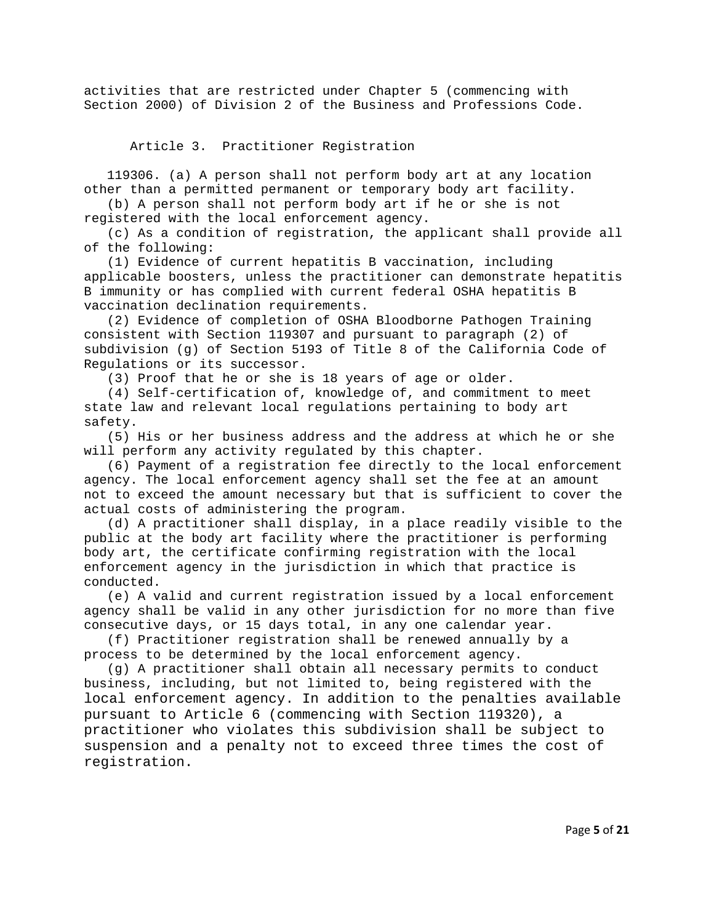activities that are restricted under Chapter 5 (commencing with Section 2000) of Division 2 of the Business and Professions Code.

Article 3. Practitioner Registration

 119306. (a) A person shall not perform body art at any location other than a permitted permanent or temporary body art facility.

 (b) A person shall not perform body art if he or she is not registered with the local enforcement agency.

 (c) As a condition of registration, the applicant shall provide all of the following:

 (1) Evidence of current hepatitis B vaccination, including applicable boosters, unless the practitioner can demonstrate hepatitis B immunity or has complied with current federal OSHA hepatitis B vaccination declination requirements.

 (2) Evidence of completion of OSHA Bloodborne Pathogen Training consistent with Section 119307 and pursuant to paragraph (2) of subdivision (g) of Section 5193 of Title 8 of the California Code of Regulations or its successor.

(3) Proof that he or she is 18 years of age or older.

 (4) Self-certification of, knowledge of, and commitment to meet state law and relevant local regulations pertaining to body art safety.

 (5) His or her business address and the address at which he or she will perform any activity regulated by this chapter.

 (6) Payment of a registration fee directly to the local enforcement agency. The local enforcement agency shall set the fee at an amount not to exceed the amount necessary but that is sufficient to cover the actual costs of administering the program.

 (d) A practitioner shall display, in a place readily visible to the public at the body art facility where the practitioner is performing body art, the certificate confirming registration with the local enforcement agency in the jurisdiction in which that practice is conducted.

 (e) A valid and current registration issued by a local enforcement agency shall be valid in any other jurisdiction for no more than five consecutive days, or 15 days total, in any one calendar year.

 (f) Practitioner registration shall be renewed annually by a process to be determined by the local enforcement agency.

 (g) A practitioner shall obtain all necessary permits to conduct business, including, but not limited to, being registered with the local enforcement agency. In addition to the penalties available pursuant to Article 6 (commencing with Section 119320), a practitioner who violates this subdivision shall be subject to suspension and a penalty not to exceed three times the cost of registration.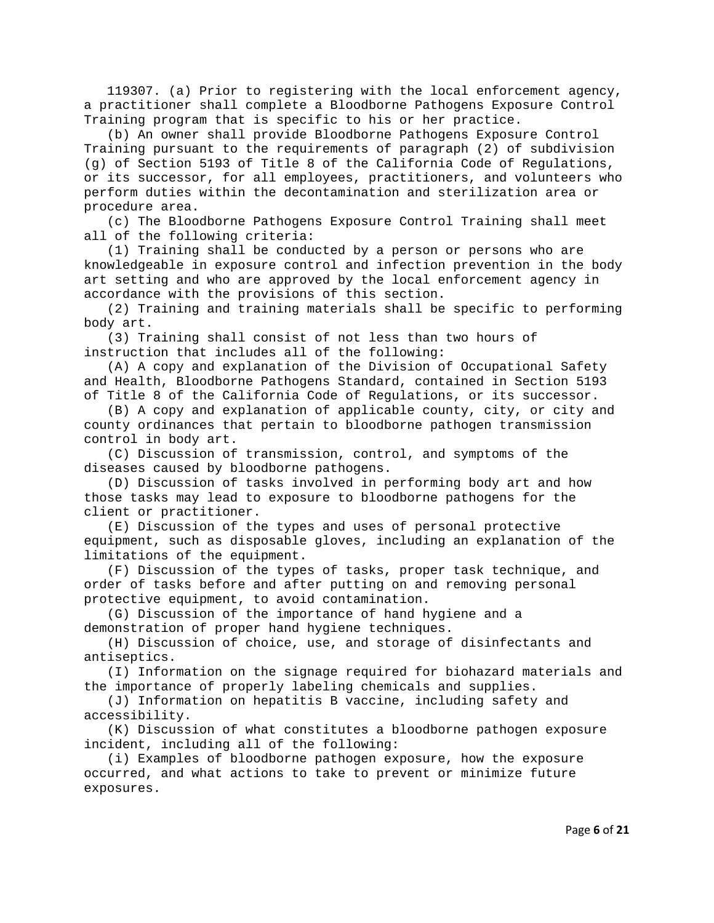119307. (a) Prior to registering with the local enforcement agency, a practitioner shall complete a Bloodborne Pathogens Exposure Control Training program that is specific to his or her practice.

 (b) An owner shall provide Bloodborne Pathogens Exposure Control Training pursuant to the requirements of paragraph (2) of subdivision (g) of Section 5193 of Title 8 of the California Code of Regulations, or its successor, for all employees, practitioners, and volunteers who perform duties within the decontamination and sterilization area or procedure area.

 (c) The Bloodborne Pathogens Exposure Control Training shall meet all of the following criteria:

 (1) Training shall be conducted by a person or persons who are knowledgeable in exposure control and infection prevention in the body art setting and who are approved by the local enforcement agency in accordance with the provisions of this section.

 (2) Training and training materials shall be specific to performing body art.

 (3) Training shall consist of not less than two hours of instruction that includes all of the following:

 (A) A copy and explanation of the Division of Occupational Safety and Health, Bloodborne Pathogens Standard, contained in Section 5193 of Title 8 of the California Code of Regulations, or its successor.

 (B) A copy and explanation of applicable county, city, or city and county ordinances that pertain to bloodborne pathogen transmission control in body art.

 (C) Discussion of transmission, control, and symptoms of the diseases caused by bloodborne pathogens.

 (D) Discussion of tasks involved in performing body art and how those tasks may lead to exposure to bloodborne pathogens for the client or practitioner.

 (E) Discussion of the types and uses of personal protective equipment, such as disposable gloves, including an explanation of the limitations of the equipment.

 (F) Discussion of the types of tasks, proper task technique, and order of tasks before and after putting on and removing personal protective equipment, to avoid contamination.

 (G) Discussion of the importance of hand hygiene and a demonstration of proper hand hygiene techniques.

 (H) Discussion of choice, use, and storage of disinfectants and antiseptics.

 (I) Information on the signage required for biohazard materials and the importance of properly labeling chemicals and supplies.

 (J) Information on hepatitis B vaccine, including safety and accessibility.

 (K) Discussion of what constitutes a bloodborne pathogen exposure incident, including all of the following:

 (i) Examples of bloodborne pathogen exposure, how the exposure occurred, and what actions to take to prevent or minimize future exposures.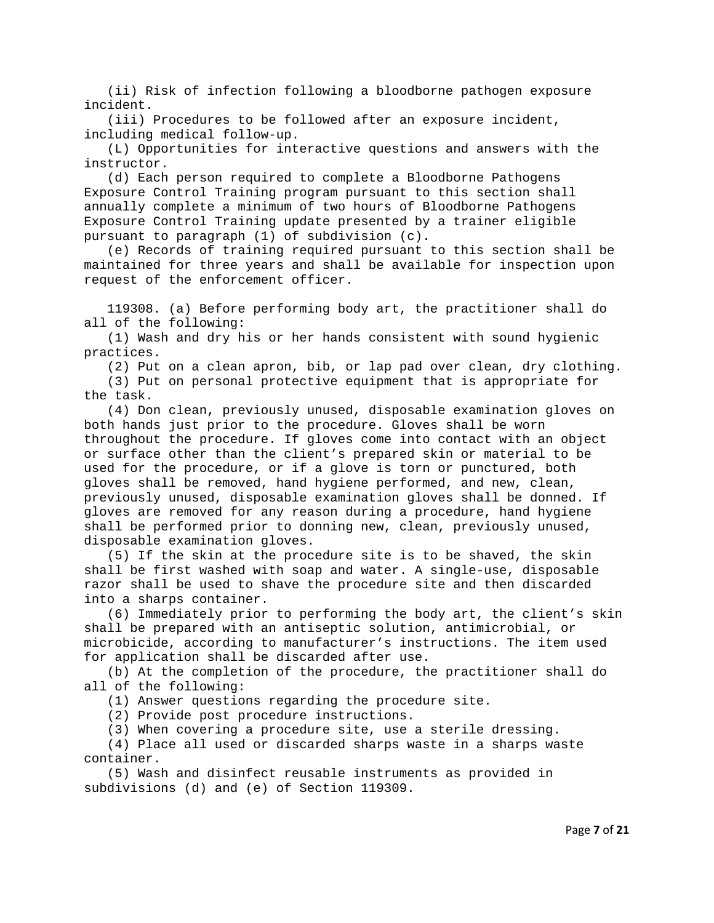(ii) Risk of infection following a bloodborne pathogen exposure incident.

 (iii) Procedures to be followed after an exposure incident, including medical follow-up.

 (L) Opportunities for interactive questions and answers with the instructor.

 (d) Each person required to complete a Bloodborne Pathogens Exposure Control Training program pursuant to this section shall annually complete a minimum of two hours of Bloodborne Pathogens Exposure Control Training update presented by a trainer eligible pursuant to paragraph (1) of subdivision (c).

 (e) Records of training required pursuant to this section shall be maintained for three years and shall be available for inspection upon request of the enforcement officer.

 119308. (a) Before performing body art, the practitioner shall do all of the following:

 (1) Wash and dry his or her hands consistent with sound hygienic practices.

(2) Put on a clean apron, bib, or lap pad over clean, dry clothing.

 (3) Put on personal protective equipment that is appropriate for the task.

 (4) Don clean, previously unused, disposable examination gloves on both hands just prior to the procedure. Gloves shall be worn throughout the procedure. If gloves come into contact with an object or surface other than the client's prepared skin or material to be used for the procedure, or if a glove is torn or punctured, both gloves shall be removed, hand hygiene performed, and new, clean, previously unused, disposable examination gloves shall be donned. If gloves are removed for any reason during a procedure, hand hygiene shall be performed prior to donning new, clean, previously unused, disposable examination gloves.

 (5) If the skin at the procedure site is to be shaved, the skin shall be first washed with soap and water. A single-use, disposable razor shall be used to shave the procedure site and then discarded into a sharps container.

 (6) Immediately prior to performing the body art, the client's skin shall be prepared with an antiseptic solution, antimicrobial, or microbicide, according to manufacturer's instructions. The item used for application shall be discarded after use.

 (b) At the completion of the procedure, the practitioner shall do all of the following:

(1) Answer questions regarding the procedure site.

(2) Provide post procedure instructions.

(3) When covering a procedure site, use a sterile dressing.

 (4) Place all used or discarded sharps waste in a sharps waste container.

 (5) Wash and disinfect reusable instruments as provided in subdivisions (d) and (e) of Section 119309.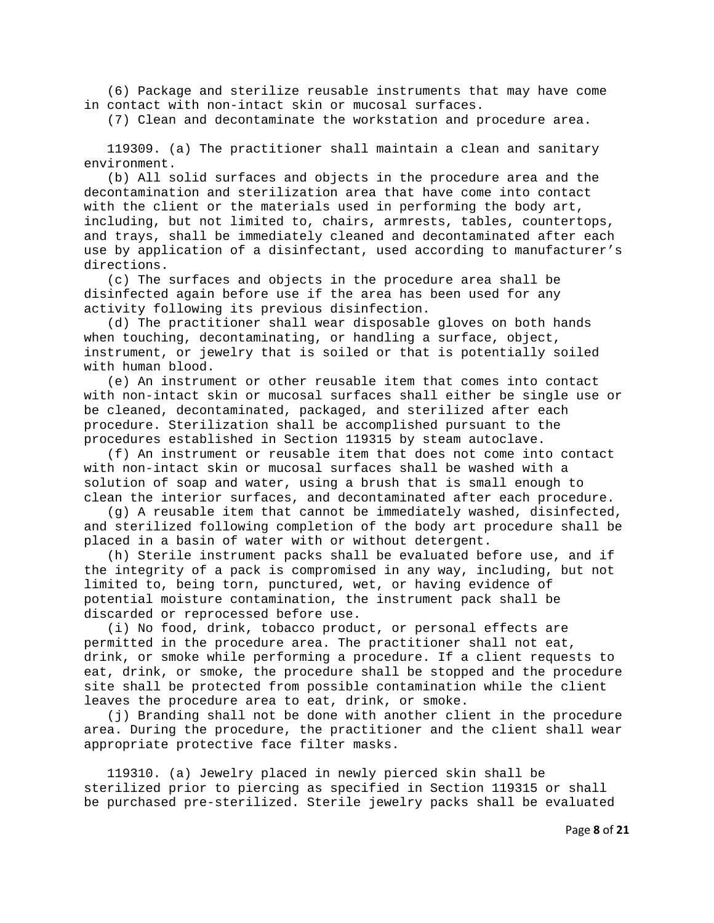(6) Package and sterilize reusable instruments that may have come in contact with non-intact skin or mucosal surfaces.

(7) Clean and decontaminate the workstation and procedure area.

 119309. (a) The practitioner shall maintain a clean and sanitary environment.

 (b) All solid surfaces and objects in the procedure area and the decontamination and sterilization area that have come into contact with the client or the materials used in performing the body art, including, but not limited to, chairs, armrests, tables, countertops, and trays, shall be immediately cleaned and decontaminated after each use by application of a disinfectant, used according to manufacturer's directions.

 (c) The surfaces and objects in the procedure area shall be disinfected again before use if the area has been used for any activity following its previous disinfection.

 (d) The practitioner shall wear disposable gloves on both hands when touching, decontaminating, or handling a surface, object, instrument, or jewelry that is soiled or that is potentially soiled with human blood.

 (e) An instrument or other reusable item that comes into contact with non-intact skin or mucosal surfaces shall either be single use or be cleaned, decontaminated, packaged, and sterilized after each procedure. Sterilization shall be accomplished pursuant to the procedures established in Section 119315 by steam autoclave.

 (f) An instrument or reusable item that does not come into contact with non-intact skin or mucosal surfaces shall be washed with a solution of soap and water, using a brush that is small enough to clean the interior surfaces, and decontaminated after each procedure.

 (g) A reusable item that cannot be immediately washed, disinfected, and sterilized following completion of the body art procedure shall be placed in a basin of water with or without detergent.

 (h) Sterile instrument packs shall be evaluated before use, and if the integrity of a pack is compromised in any way, including, but not limited to, being torn, punctured, wet, or having evidence of potential moisture contamination, the instrument pack shall be discarded or reprocessed before use.

 (i) No food, drink, tobacco product, or personal effects are permitted in the procedure area. The practitioner shall not eat, drink, or smoke while performing a procedure. If a client requests to eat, drink, or smoke, the procedure shall be stopped and the procedure site shall be protected from possible contamination while the client leaves the procedure area to eat, drink, or smoke.

 (j) Branding shall not be done with another client in the procedure area. During the procedure, the practitioner and the client shall wear appropriate protective face filter masks.

 119310. (a) Jewelry placed in newly pierced skin shall be sterilized prior to piercing as specified in Section 119315 or shall be purchased pre-sterilized. Sterile jewelry packs shall be evaluated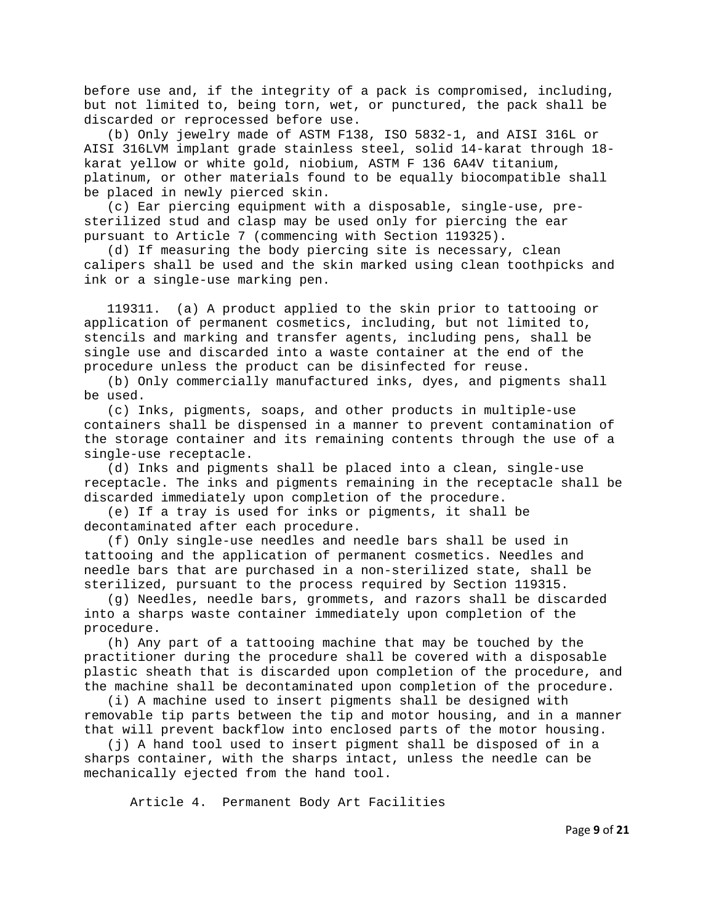before use and, if the integrity of a pack is compromised, including, but not limited to, being torn, wet, or punctured, the pack shall be discarded or reprocessed before use.

 (b) Only jewelry made of ASTM F138, ISO 5832-1, and AISI 316L or AISI 316LVM implant grade stainless steel, solid 14-karat through 18 karat yellow or white gold, niobium, ASTM F 136 6A4V titanium, platinum, or other materials found to be equally biocompatible shall be placed in newly pierced skin.

 (c) Ear piercing equipment with a disposable, single-use, presterilized stud and clasp may be used only for piercing the ear pursuant to Article 7 (commencing with Section 119325).

 (d) If measuring the body piercing site is necessary, clean calipers shall be used and the skin marked using clean toothpicks and ink or a single-use marking pen.

 119311. (a) A product applied to the skin prior to tattooing or application of permanent cosmetics, including, but not limited to, stencils and marking and transfer agents, including pens, shall be single use and discarded into a waste container at the end of the procedure unless the product can be disinfected for reuse.

 (b) Only commercially manufactured inks, dyes, and pigments shall be used.

 (c) Inks, pigments, soaps, and other products in multiple-use containers shall be dispensed in a manner to prevent contamination of the storage container and its remaining contents through the use of a single-use receptacle.

 (d) Inks and pigments shall be placed into a clean, single-use receptacle. The inks and pigments remaining in the receptacle shall be discarded immediately upon completion of the procedure.

 (e) If a tray is used for inks or pigments, it shall be decontaminated after each procedure.

 (f) Only single-use needles and needle bars shall be used in tattooing and the application of permanent cosmetics. Needles and needle bars that are purchased in a non-sterilized state, shall be sterilized, pursuant to the process required by Section 119315.

 (g) Needles, needle bars, grommets, and razors shall be discarded into a sharps waste container immediately upon completion of the procedure.

 (h) Any part of a tattooing machine that may be touched by the practitioner during the procedure shall be covered with a disposable plastic sheath that is discarded upon completion of the procedure, and the machine shall be decontaminated upon completion of the procedure.

 (i) A machine used to insert pigments shall be designed with removable tip parts between the tip and motor housing, and in a manner that will prevent backflow into enclosed parts of the motor housing.

 (j) A hand tool used to insert pigment shall be disposed of in a sharps container, with the sharps intact, unless the needle can be mechanically ejected from the hand tool.

Article 4. Permanent Body Art Facilities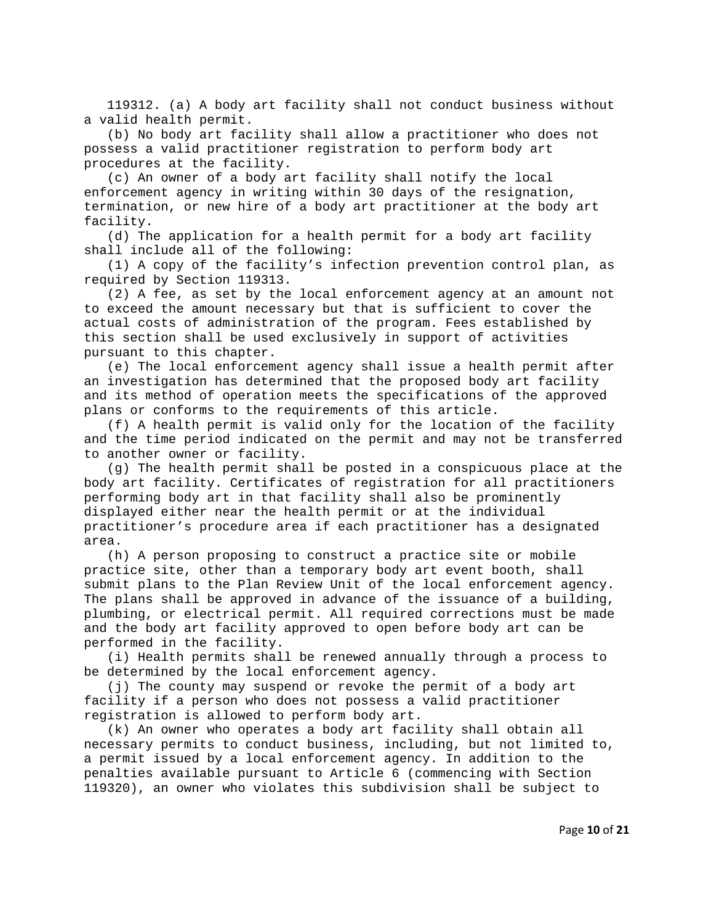119312. (a) A body art facility shall not conduct business without a valid health permit.

 (b) No body art facility shall allow a practitioner who does not possess a valid practitioner registration to perform body art procedures at the facility.

 (c) An owner of a body art facility shall notify the local enforcement agency in writing within 30 days of the resignation, termination, or new hire of a body art practitioner at the body art facility.

 (d) The application for a health permit for a body art facility shall include all of the following:

 (1) A copy of the facility's infection prevention control plan, as required by Section 119313.

 (2) A fee, as set by the local enforcement agency at an amount not to exceed the amount necessary but that is sufficient to cover the actual costs of administration of the program. Fees established by this section shall be used exclusively in support of activities pursuant to this chapter.

 (e) The local enforcement agency shall issue a health permit after an investigation has determined that the proposed body art facility and its method of operation meets the specifications of the approved plans or conforms to the requirements of this article.

 (f) A health permit is valid only for the location of the facility and the time period indicated on the permit and may not be transferred to another owner or facility.

 (g) The health permit shall be posted in a conspicuous place at the body art facility. Certificates of registration for all practitioners performing body art in that facility shall also be prominently displayed either near the health permit or at the individual practitioner's procedure area if each practitioner has a designated area.

 (h) A person proposing to construct a practice site or mobile practice site, other than a temporary body art event booth, shall submit plans to the Plan Review Unit of the local enforcement agency. The plans shall be approved in advance of the issuance of a building, plumbing, or electrical permit. All required corrections must be made and the body art facility approved to open before body art can be performed in the facility.

 (i) Health permits shall be renewed annually through a process to be determined by the local enforcement agency.

 (j) The county may suspend or revoke the permit of a body art facility if a person who does not possess a valid practitioner registration is allowed to perform body art.

 (k) An owner who operates a body art facility shall obtain all necessary permits to conduct business, including, but not limited to, a permit issued by a local enforcement agency. In addition to the penalties available pursuant to Article 6 (commencing with Section 119320), an owner who violates this subdivision shall be subject to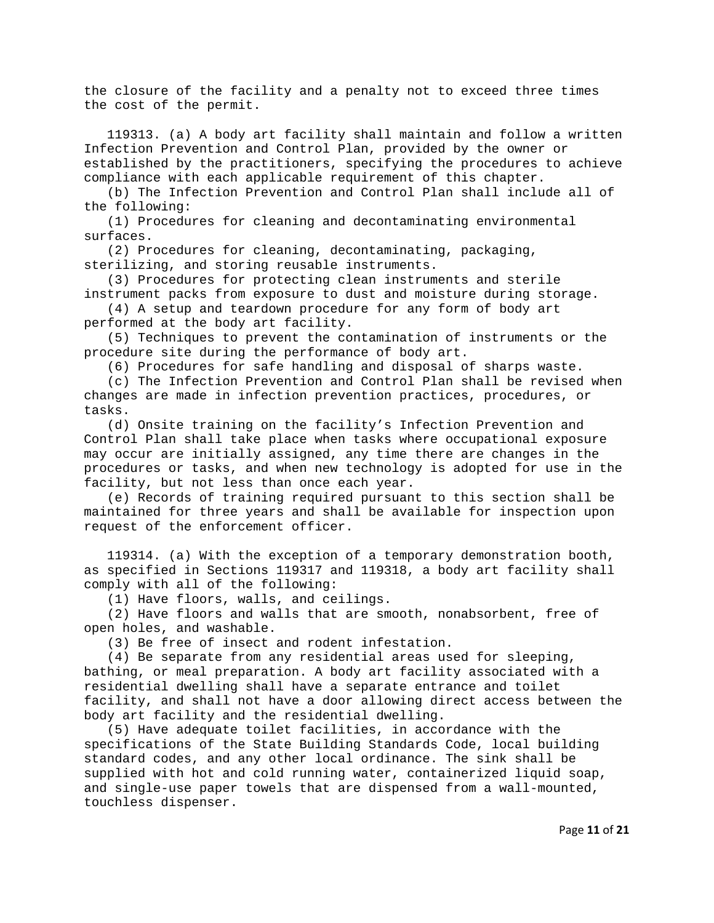the closure of the facility and a penalty not to exceed three times the cost of the permit.

 119313. (a) A body art facility shall maintain and follow a written Infection Prevention and Control Plan, provided by the owner or established by the practitioners, specifying the procedures to achieve compliance with each applicable requirement of this chapter.

 (b) The Infection Prevention and Control Plan shall include all of the following:

 (1) Procedures for cleaning and decontaminating environmental surfaces.

(2) Procedures for cleaning, decontaminating, packaging,

sterilizing, and storing reusable instruments.

 (3) Procedures for protecting clean instruments and sterile instrument packs from exposure to dust and moisture during storage.

 (4) A setup and teardown procedure for any form of body art performed at the body art facility.

 (5) Techniques to prevent the contamination of instruments or the procedure site during the performance of body art.

(6) Procedures for safe handling and disposal of sharps waste.

 (c) The Infection Prevention and Control Plan shall be revised when changes are made in infection prevention practices, procedures, or tasks.

 (d) Onsite training on the facility's Infection Prevention and Control Plan shall take place when tasks where occupational exposure may occur are initially assigned, any time there are changes in the procedures or tasks, and when new technology is adopted for use in the facility, but not less than once each year.

 (e) Records of training required pursuant to this section shall be maintained for three years and shall be available for inspection upon request of the enforcement officer.

 119314. (a) With the exception of a temporary demonstration booth, as specified in Sections 119317 and 119318, a body art facility shall comply with all of the following:

(1) Have floors, walls, and ceilings.

 (2) Have floors and walls that are smooth, nonabsorbent, free of open holes, and washable.

(3) Be free of insect and rodent infestation.

 (4) Be separate from any residential areas used for sleeping, bathing, or meal preparation. A body art facility associated with a residential dwelling shall have a separate entrance and toilet facility, and shall not have a door allowing direct access between the body art facility and the residential dwelling.

 (5) Have adequate toilet facilities, in accordance with the specifications of the State Building Standards Code, local building standard codes, and any other local ordinance. The sink shall be supplied with hot and cold running water, containerized liquid soap, and single-use paper towels that are dispensed from a wall-mounted, touchless dispenser.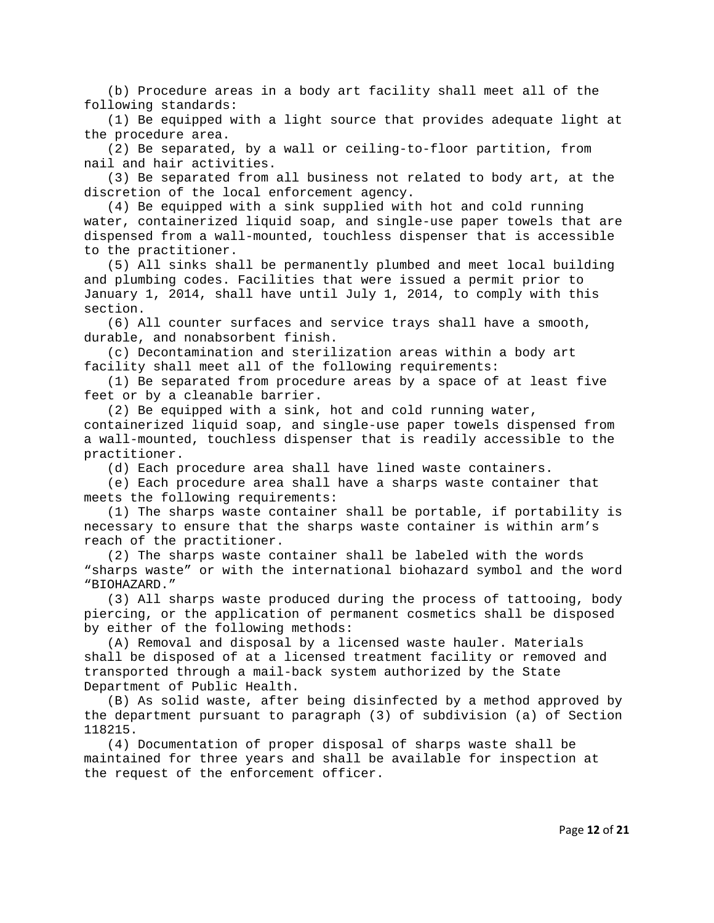(b) Procedure areas in a body art facility shall meet all of the following standards:

 (1) Be equipped with a light source that provides adequate light at the procedure area.

 (2) Be separated, by a wall or ceiling-to-floor partition, from nail and hair activities.

 (3) Be separated from all business not related to body art, at the discretion of the local enforcement agency.

 (4) Be equipped with a sink supplied with hot and cold running water, containerized liquid soap, and single-use paper towels that are dispensed from a wall-mounted, touchless dispenser that is accessible to the practitioner.

 (5) All sinks shall be permanently plumbed and meet local building and plumbing codes. Facilities that were issued a permit prior to January 1, 2014, shall have until July 1, 2014, to comply with this section.

 (6) All counter surfaces and service trays shall have a smooth, durable, and nonabsorbent finish.

 (c) Decontamination and sterilization areas within a body art facility shall meet all of the following requirements:

 (1) Be separated from procedure areas by a space of at least five feet or by a cleanable barrier.

 (2) Be equipped with a sink, hot and cold running water, containerized liquid soap, and single-use paper towels dispensed from a wall-mounted, touchless dispenser that is readily accessible to the practitioner.

(d) Each procedure area shall have lined waste containers.

 (e) Each procedure area shall have a sharps waste container that meets the following requirements:

 (1) The sharps waste container shall be portable, if portability is necessary to ensure that the sharps waste container is within arm's reach of the practitioner.

 (2) The sharps waste container shall be labeled with the words "sharps waste" or with the international biohazard symbol and the word "BIOHAZARD."

 (3) All sharps waste produced during the process of tattooing, body piercing, or the application of permanent cosmetics shall be disposed by either of the following methods:

 (A) Removal and disposal by a licensed waste hauler. Materials shall be disposed of at a licensed treatment facility or removed and transported through a mail-back system authorized by the State Department of Public Health.

 (B) As solid waste, after being disinfected by a method approved by the department pursuant to paragraph (3) of subdivision (a) of Section 118215.

 (4) Documentation of proper disposal of sharps waste shall be maintained for three years and shall be available for inspection at the request of the enforcement officer.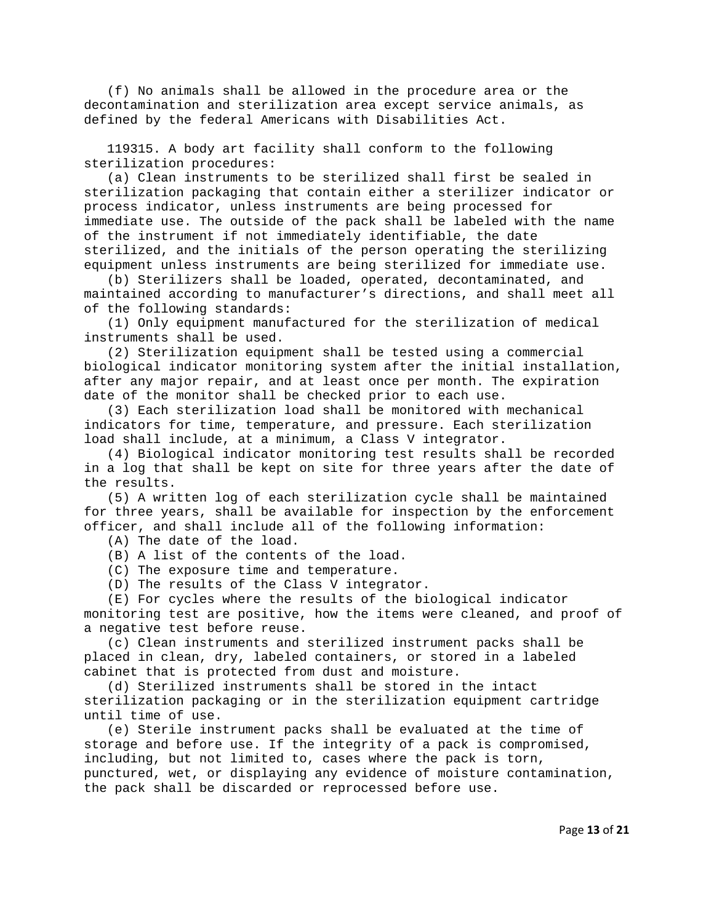(f) No animals shall be allowed in the procedure area or the decontamination and sterilization area except service animals, as defined by the federal Americans with Disabilities Act.

 119315. A body art facility shall conform to the following sterilization procedures:

 (a) Clean instruments to be sterilized shall first be sealed in sterilization packaging that contain either a sterilizer indicator or process indicator, unless instruments are being processed for immediate use. The outside of the pack shall be labeled with the name of the instrument if not immediately identifiable, the date sterilized, and the initials of the person operating the sterilizing equipment unless instruments are being sterilized for immediate use.

 (b) Sterilizers shall be loaded, operated, decontaminated, and maintained according to manufacturer's directions, and shall meet all of the following standards:

 (1) Only equipment manufactured for the sterilization of medical instruments shall be used.

 (2) Sterilization equipment shall be tested using a commercial biological indicator monitoring system after the initial installation, after any major repair, and at least once per month. The expiration date of the monitor shall be checked prior to each use.

 (3) Each sterilization load shall be monitored with mechanical indicators for time, temperature, and pressure. Each sterilization load shall include, at a minimum, a Class V integrator.

 (4) Biological indicator monitoring test results shall be recorded in a log that shall be kept on site for three years after the date of the results.

 (5) A written log of each sterilization cycle shall be maintained for three years, shall be available for inspection by the enforcement officer, and shall include all of the following information:

(A) The date of the load.

(B) A list of the contents of the load.

(C) The exposure time and temperature.

(D) The results of the Class V integrator.

 (E) For cycles where the results of the biological indicator monitoring test are positive, how the items were cleaned, and proof of a negative test before reuse.

 (c) Clean instruments and sterilized instrument packs shall be placed in clean, dry, labeled containers, or stored in a labeled cabinet that is protected from dust and moisture.

 (d) Sterilized instruments shall be stored in the intact sterilization packaging or in the sterilization equipment cartridge until time of use.

 (e) Sterile instrument packs shall be evaluated at the time of storage and before use. If the integrity of a pack is compromised, including, but not limited to, cases where the pack is torn, punctured, wet, or displaying any evidence of moisture contamination, the pack shall be discarded or reprocessed before use.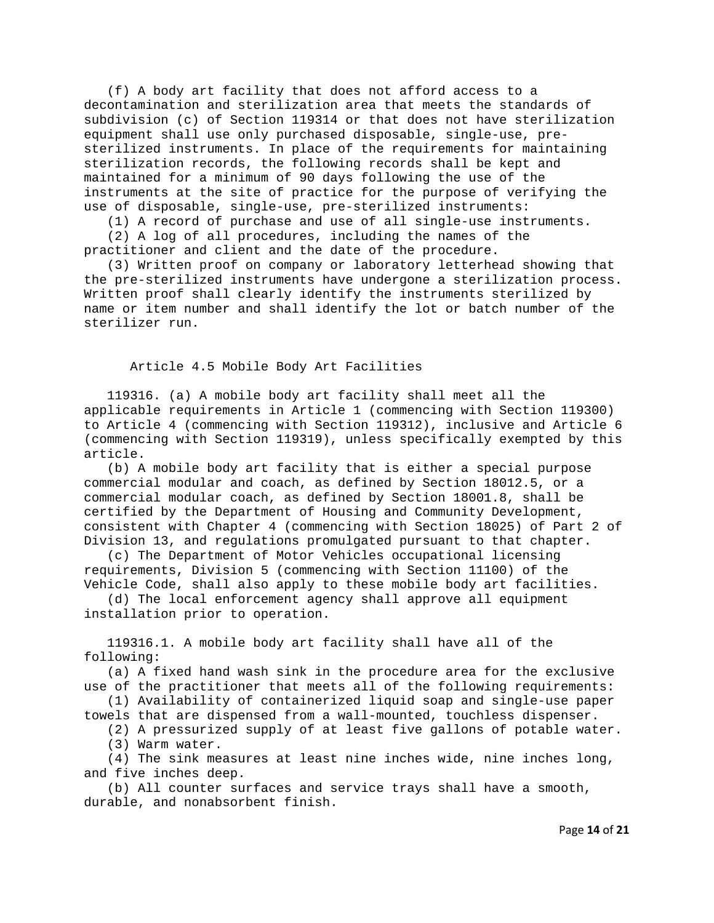(f) A body art facility that does not afford access to a decontamination and sterilization area that meets the standards of subdivision (c) of Section 119314 or that does not have sterilization equipment shall use only purchased disposable, single-use, presterilized instruments. In place of the requirements for maintaining sterilization records, the following records shall be kept and maintained for a minimum of 90 days following the use of the instruments at the site of practice for the purpose of verifying the use of disposable, single-use, pre-sterilized instruments:

(1) A record of purchase and use of all single-use instruments.

 (2) A log of all procedures, including the names of the practitioner and client and the date of the procedure.

 (3) Written proof on company or laboratory letterhead showing that the pre-sterilized instruments have undergone a sterilization process. Written proof shall clearly identify the instruments sterilized by name or item number and shall identify the lot or batch number of the sterilizer run.

Article 4.5 Mobile Body Art Facilities

 119316. (a) A mobile body art facility shall meet all the applicable requirements in Article 1 (commencing with Section 119300) to Article 4 (commencing with Section 119312), inclusive and Article 6 (commencing with Section 119319), unless specifically exempted by this article.

 (b) A mobile body art facility that is either a special purpose commercial modular and coach, as defined by Section 18012.5, or a commercial modular coach, as defined by Section 18001.8, shall be certified by the Department of Housing and Community Development, consistent with Chapter 4 (commencing with Section 18025) of Part 2 of Division 13, and regulations promulgated pursuant to that chapter.

 (c) The Department of Motor Vehicles occupational licensing requirements, Division 5 (commencing with Section 11100) of the Vehicle Code, shall also apply to these mobile body art facilities.

 (d) The local enforcement agency shall approve all equipment installation prior to operation.

 119316.1. A mobile body art facility shall have all of the following:

 (a) A fixed hand wash sink in the procedure area for the exclusive use of the practitioner that meets all of the following requirements:

 (1) Availability of containerized liquid soap and single-use paper towels that are dispensed from a wall-mounted, touchless dispenser.

 (2) A pressurized supply of at least five gallons of potable water. (3) Warm water.

 (4) The sink measures at least nine inches wide, nine inches long, and five inches deep.

 (b) All counter surfaces and service trays shall have a smooth, durable, and nonabsorbent finish.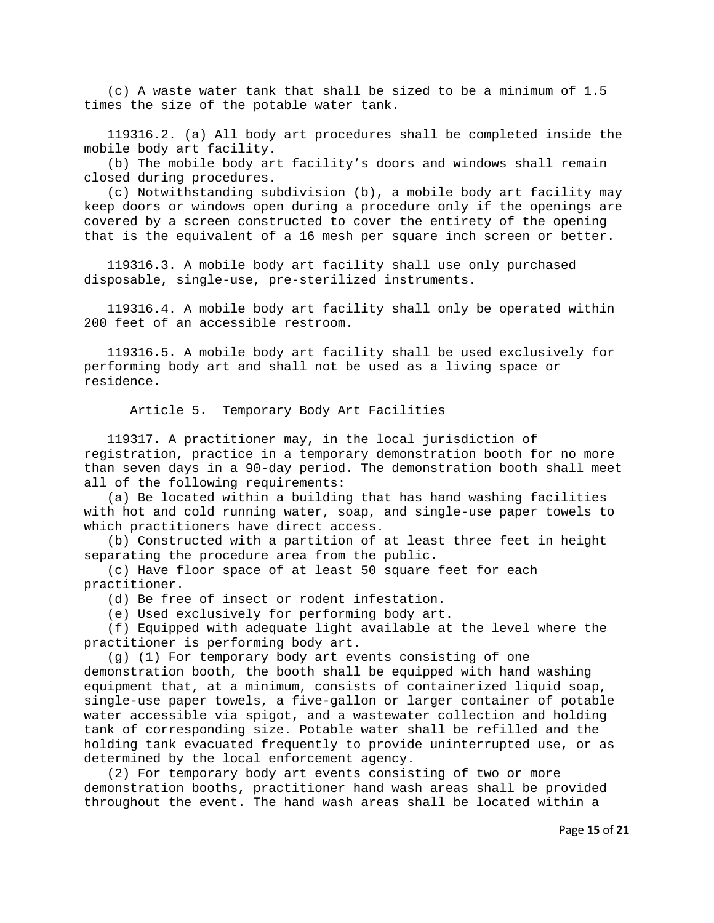(c) A waste water tank that shall be sized to be a minimum of 1.5 times the size of the potable water tank.

 119316.2. (a) All body art procedures shall be completed inside the mobile body art facility.

 (b) The mobile body art facility's doors and windows shall remain closed during procedures.

 (c) Notwithstanding subdivision (b), a mobile body art facility may keep doors or windows open during a procedure only if the openings are covered by a screen constructed to cover the entirety of the opening that is the equivalent of a 16 mesh per square inch screen or better.

 119316.3. A mobile body art facility shall use only purchased disposable, single-use, pre-sterilized instruments.

 119316.4. A mobile body art facility shall only be operated within 200 feet of an accessible restroom.

 119316.5. A mobile body art facility shall be used exclusively for performing body art and shall not be used as a living space or residence.

Article 5. Temporary Body Art Facilities

 119317. A practitioner may, in the local jurisdiction of registration, practice in a temporary demonstration booth for no more than seven days in a 90-day period. The demonstration booth shall meet all of the following requirements:

 (a) Be located within a building that has hand washing facilities with hot and cold running water, soap, and single-use paper towels to which practitioners have direct access.

 (b) Constructed with a partition of at least three feet in height separating the procedure area from the public.

 (c) Have floor space of at least 50 square feet for each practitioner.

(d) Be free of insect or rodent infestation.

(e) Used exclusively for performing body art.

 (f) Equipped with adequate light available at the level where the practitioner is performing body art.

 (g) (1) For temporary body art events consisting of one demonstration booth, the booth shall be equipped with hand washing equipment that, at a minimum, consists of containerized liquid soap, single-use paper towels, a five-gallon or larger container of potable water accessible via spigot, and a wastewater collection and holding tank of corresponding size. Potable water shall be refilled and the holding tank evacuated frequently to provide uninterrupted use, or as determined by the local enforcement agency.

 (2) For temporary body art events consisting of two or more demonstration booths, practitioner hand wash areas shall be provided throughout the event. The hand wash areas shall be located within a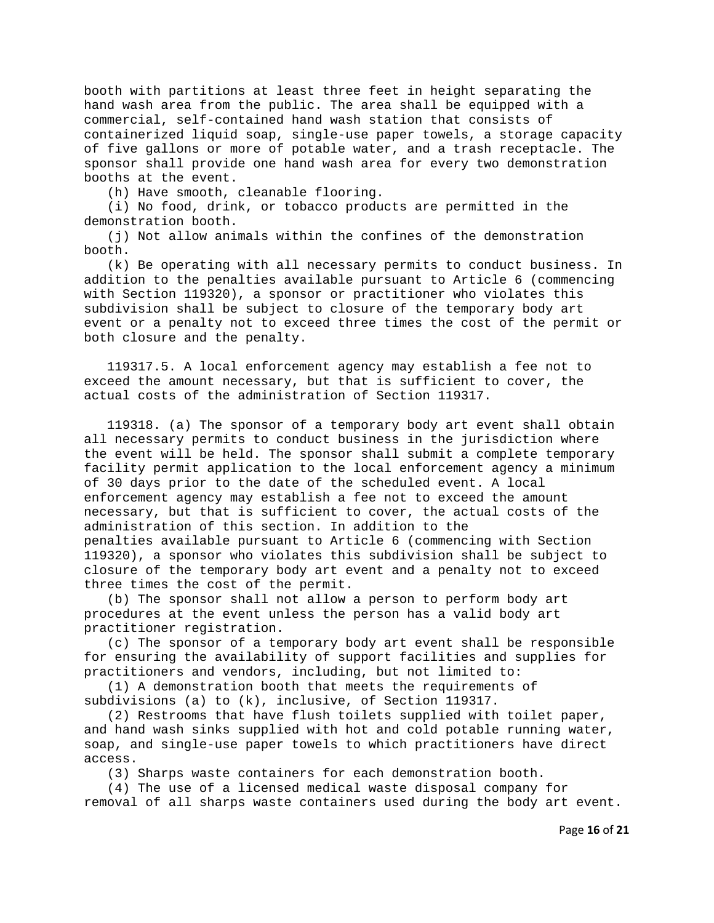booth with partitions at least three feet in height separating the hand wash area from the public. The area shall be equipped with a commercial, self-contained hand wash station that consists of containerized liquid soap, single-use paper towels, a storage capacity of five gallons or more of potable water, and a trash receptacle. The sponsor shall provide one hand wash area for every two demonstration booths at the event.

(h) Have smooth, cleanable flooring.

 (i) No food, drink, or tobacco products are permitted in the demonstration booth.

 (j) Not allow animals within the confines of the demonstration booth.

 (k) Be operating with all necessary permits to conduct business. In addition to the penalties available pursuant to Article 6 (commencing with Section 119320), a sponsor or practitioner who violates this subdivision shall be subject to closure of the temporary body art event or a penalty not to exceed three times the cost of the permit or both closure and the penalty.

 119317.5. A local enforcement agency may establish a fee not to exceed the amount necessary, but that is sufficient to cover, the actual costs of the administration of Section 119317.

 119318. (a) The sponsor of a temporary body art event shall obtain all necessary permits to conduct business in the jurisdiction where the event will be held. The sponsor shall submit a complete temporary facility permit application to the local enforcement agency a minimum of 30 days prior to the date of the scheduled event. A local enforcement agency may establish a fee not to exceed the amount necessary, but that is sufficient to cover, the actual costs of the administration of this section. In addition to the penalties available pursuant to Article 6 (commencing with Section 119320), a sponsor who violates this subdivision shall be subject to closure of the temporary body art event and a penalty not to exceed three times the cost of the permit.

 (b) The sponsor shall not allow a person to perform body art procedures at the event unless the person has a valid body art practitioner registration.

 (c) The sponsor of a temporary body art event shall be responsible for ensuring the availability of support facilities and supplies for practitioners and vendors, including, but not limited to:

 (1) A demonstration booth that meets the requirements of subdivisions (a) to (k), inclusive, of Section 119317.

 (2) Restrooms that have flush toilets supplied with toilet paper, and hand wash sinks supplied with hot and cold potable running water, soap, and single-use paper towels to which practitioners have direct access.

(3) Sharps waste containers for each demonstration booth.

 (4) The use of a licensed medical waste disposal company for removal of all sharps waste containers used during the body art event.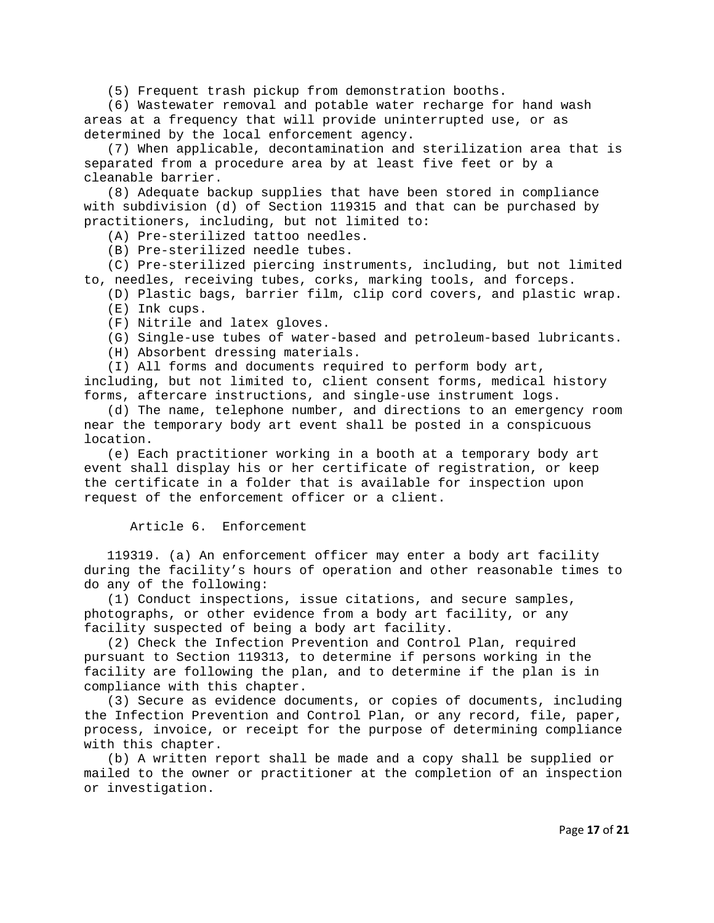(5) Frequent trash pickup from demonstration booths.

 (6) Wastewater removal and potable water recharge for hand wash areas at a frequency that will provide uninterrupted use, or as determined by the local enforcement agency.

 (7) When applicable, decontamination and sterilization area that is separated from a procedure area by at least five feet or by a cleanable barrier.

 (8) Adequate backup supplies that have been stored in compliance with subdivision (d) of Section 119315 and that can be purchased by practitioners, including, but not limited to:

(A) Pre-sterilized tattoo needles.

(B) Pre-sterilized needle tubes.

 (C) Pre-sterilized piercing instruments, including, but not limited to, needles, receiving tubes, corks, marking tools, and forceps.

(D) Plastic bags, barrier film, clip cord covers, and plastic wrap.

- (E) Ink cups.
- (F) Nitrile and latex gloves.
- (G) Single-use tubes of water-based and petroleum-based lubricants.
- (H) Absorbent dressing materials.
- (I) All forms and documents required to perform body art,

including, but not limited to, client consent forms, medical history forms, aftercare instructions, and single-use instrument logs.

 (d) The name, telephone number, and directions to an emergency room near the temporary body art event shall be posted in a conspicuous location.

 (e) Each practitioner working in a booth at a temporary body art event shall display his or her certificate of registration, or keep the certificate in a folder that is available for inspection upon request of the enforcement officer or a client.

## Article 6. Enforcement

 119319. (a) An enforcement officer may enter a body art facility during the facility's hours of operation and other reasonable times to do any of the following:

 (1) Conduct inspections, issue citations, and secure samples, photographs, or other evidence from a body art facility, or any facility suspected of being a body art facility.

 (2) Check the Infection Prevention and Control Plan, required pursuant to Section 119313, to determine if persons working in the facility are following the plan, and to determine if the plan is in compliance with this chapter.

 (3) Secure as evidence documents, or copies of documents, including the Infection Prevention and Control Plan, or any record, file, paper, process, invoice, or receipt for the purpose of determining compliance with this chapter.

 (b) A written report shall be made and a copy shall be supplied or mailed to the owner or practitioner at the completion of an inspection or investigation.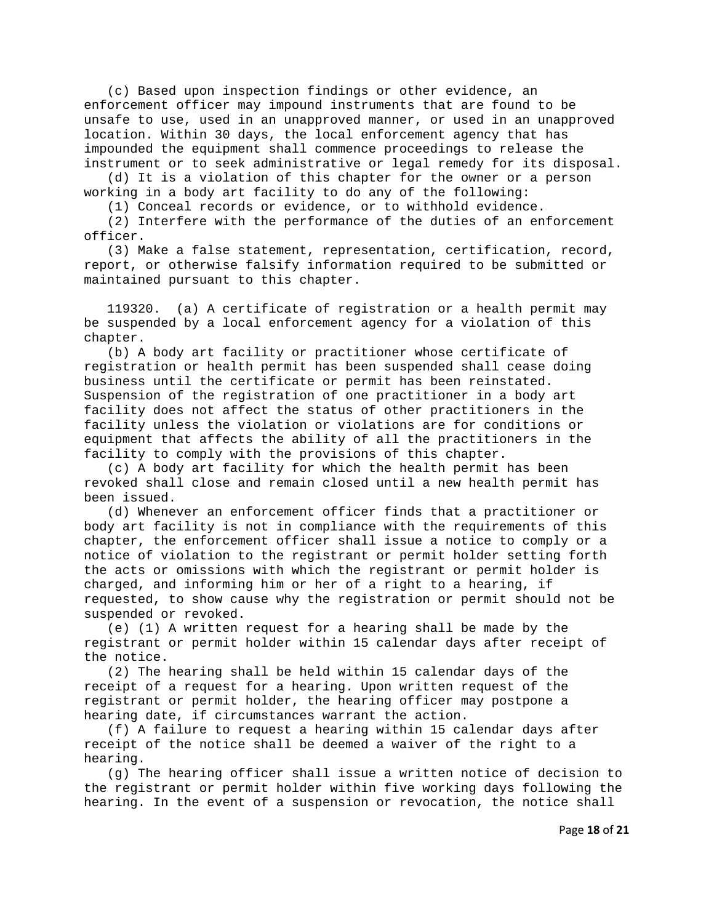(c) Based upon inspection findings or other evidence, an enforcement officer may impound instruments that are found to be unsafe to use, used in an unapproved manner, or used in an unapproved location. Within 30 days, the local enforcement agency that has impounded the equipment shall commence proceedings to release the instrument or to seek administrative or legal remedy for its disposal.

 (d) It is a violation of this chapter for the owner or a person working in a body art facility to do any of the following:

(1) Conceal records or evidence, or to withhold evidence.

 (2) Interfere with the performance of the duties of an enforcement officer.

 (3) Make a false statement, representation, certification, record, report, or otherwise falsify information required to be submitted or maintained pursuant to this chapter.

 119320. (a) A certificate of registration or a health permit may be suspended by a local enforcement agency for a violation of this chapter.

 (b) A body art facility or practitioner whose certificate of registration or health permit has been suspended shall cease doing business until the certificate or permit has been reinstated. Suspension of the registration of one practitioner in a body art facility does not affect the status of other practitioners in the facility unless the violation or violations are for conditions or equipment that affects the ability of all the practitioners in the facility to comply with the provisions of this chapter.

 (c) A body art facility for which the health permit has been revoked shall close and remain closed until a new health permit has been issued.

 (d) Whenever an enforcement officer finds that a practitioner or body art facility is not in compliance with the requirements of this chapter, the enforcement officer shall issue a notice to comply or a notice of violation to the registrant or permit holder setting forth the acts or omissions with which the registrant or permit holder is charged, and informing him or her of a right to a hearing, if requested, to show cause why the registration or permit should not be suspended or revoked.

 (e) (1) A written request for a hearing shall be made by the registrant or permit holder within 15 calendar days after receipt of the notice.

 (2) The hearing shall be held within 15 calendar days of the receipt of a request for a hearing. Upon written request of the registrant or permit holder, the hearing officer may postpone a hearing date, if circumstances warrant the action.

 (f) A failure to request a hearing within 15 calendar days after receipt of the notice shall be deemed a waiver of the right to a hearing.

 (g) The hearing officer shall issue a written notice of decision to the registrant or permit holder within five working days following the hearing. In the event of a suspension or revocation, the notice shall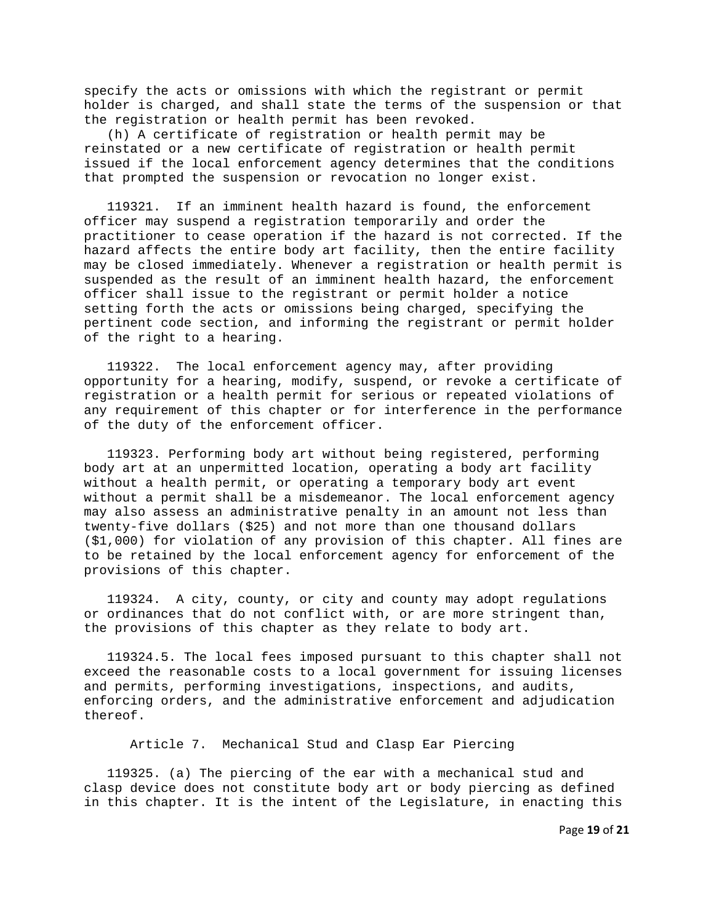specify the acts or omissions with which the registrant or permit holder is charged, and shall state the terms of the suspension or that the registration or health permit has been revoked.

 (h) A certificate of registration or health permit may be reinstated or a new certificate of registration or health permit issued if the local enforcement agency determines that the conditions that prompted the suspension or revocation no longer exist.

 119321. If an imminent health hazard is found, the enforcement officer may suspend a registration temporarily and order the practitioner to cease operation if the hazard is not corrected. If the hazard affects the entire body art facility, then the entire facility may be closed immediately. Whenever a registration or health permit is suspended as the result of an imminent health hazard, the enforcement officer shall issue to the registrant or permit holder a notice setting forth the acts or omissions being charged, specifying the pertinent code section, and informing the registrant or permit holder of the right to a hearing.

 119322. The local enforcement agency may, after providing opportunity for a hearing, modify, suspend, or revoke a certificate of registration or a health permit for serious or repeated violations of any requirement of this chapter or for interference in the performance of the duty of the enforcement officer.

 119323. Performing body art without being registered, performing body art at an unpermitted location, operating a body art facility without a health permit, or operating a temporary body art event without a permit shall be a misdemeanor. The local enforcement agency may also assess an administrative penalty in an amount not less than twenty-five dollars (\$25) and not more than one thousand dollars (\$1,000) for violation of any provision of this chapter. All fines are to be retained by the local enforcement agency for enforcement of the provisions of this chapter.

 119324. A city, county, or city and county may adopt regulations or ordinances that do not conflict with, or are more stringent than, the provisions of this chapter as they relate to body art.

 119324.5. The local fees imposed pursuant to this chapter shall not exceed the reasonable costs to a local government for issuing licenses and permits, performing investigations, inspections, and audits, enforcing orders, and the administrative enforcement and adjudication thereof.

Article 7. Mechanical Stud and Clasp Ear Piercing

 119325. (a) The piercing of the ear with a mechanical stud and clasp device does not constitute body art or body piercing as defined in this chapter. It is the intent of the Legislature, in enacting this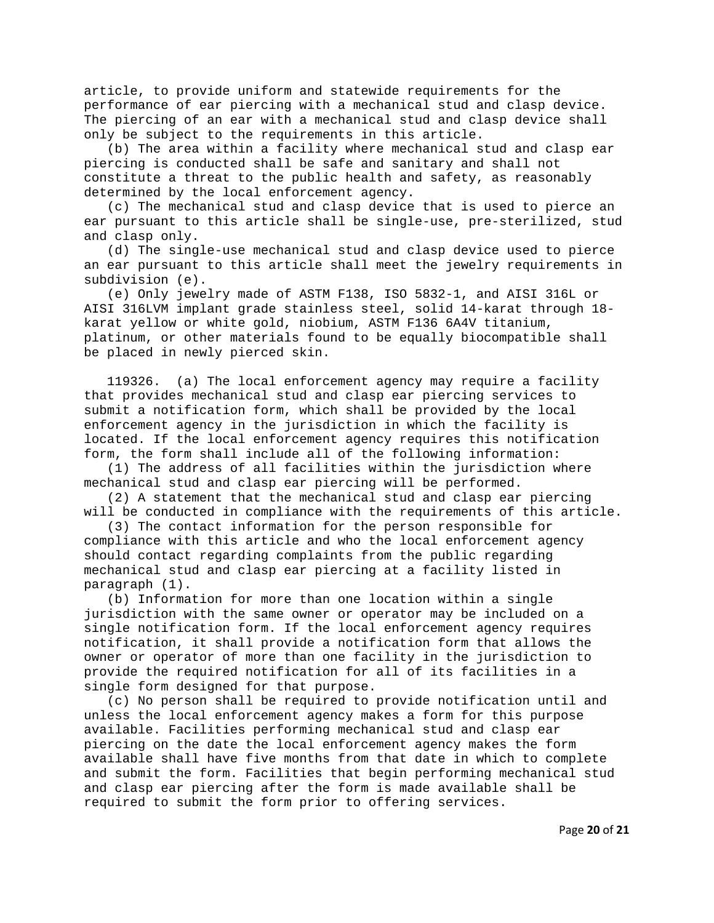article, to provide uniform and statewide requirements for the performance of ear piercing with a mechanical stud and clasp device. The piercing of an ear with a mechanical stud and clasp device shall only be subject to the requirements in this article.

 (b) The area within a facility where mechanical stud and clasp ear piercing is conducted shall be safe and sanitary and shall not constitute a threat to the public health and safety, as reasonably determined by the local enforcement agency.

 (c) The mechanical stud and clasp device that is used to pierce an ear pursuant to this article shall be single-use, pre-sterilized, stud and clasp only.

 (d) The single-use mechanical stud and clasp device used to pierce an ear pursuant to this article shall meet the jewelry requirements in subdivision (e).

 (e) Only jewelry made of ASTM F138, ISO 5832-1, and AISI 316L or AISI 316LVM implant grade stainless steel, solid 14-karat through 18 karat yellow or white gold, niobium, ASTM F136 6A4V titanium, platinum, or other materials found to be equally biocompatible shall be placed in newly pierced skin.

 119326. (a) The local enforcement agency may require a facility that provides mechanical stud and clasp ear piercing services to submit a notification form, which shall be provided by the local enforcement agency in the jurisdiction in which the facility is located. If the local enforcement agency requires this notification form, the form shall include all of the following information:

 (1) The address of all facilities within the jurisdiction where mechanical stud and clasp ear piercing will be performed.

 (2) A statement that the mechanical stud and clasp ear piercing will be conducted in compliance with the requirements of this article.

 (3) The contact information for the person responsible for compliance with this article and who the local enforcement agency should contact regarding complaints from the public regarding mechanical stud and clasp ear piercing at a facility listed in paragraph (1).

 (b) Information for more than one location within a single jurisdiction with the same owner or operator may be included on a single notification form. If the local enforcement agency requires notification, it shall provide a notification form that allows the owner or operator of more than one facility in the jurisdiction to provide the required notification for all of its facilities in a single form designed for that purpose.

 (c) No person shall be required to provide notification until and unless the local enforcement agency makes a form for this purpose available. Facilities performing mechanical stud and clasp ear piercing on the date the local enforcement agency makes the form available shall have five months from that date in which to complete and submit the form. Facilities that begin performing mechanical stud and clasp ear piercing after the form is made available shall be required to submit the form prior to offering services.